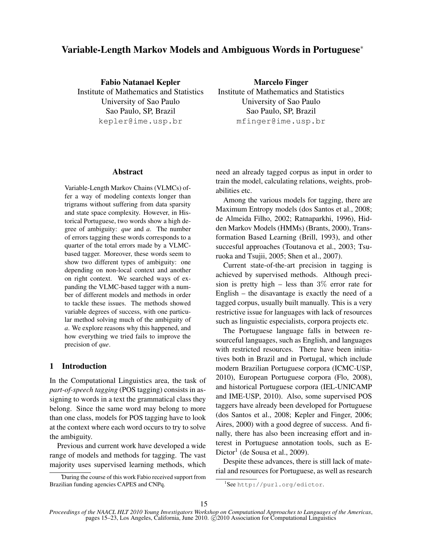# Variable-Length Markov Models and Ambiguous Words in Portuguese<sup>∗</sup>

Fabio Natanael Kepler Institute of Mathematics and Statistics University of Sao Paulo Sao Paulo, SP, Brazil kepler@ime.usp.br

Marcelo Finger Institute of Mathematics and Statistics University of Sao Paulo Sao Paulo, SP, Brazil mfinger@ime.usp.br

## Abstract

Variable-Length Markov Chains (VLMCs) offer a way of modeling contexts longer than trigrams without suffering from data sparsity and state space complexity. However, in Historical Portuguese, two words show a high degree of ambiguity: *que* and *a*. The number of errors tagging these words corresponds to a quarter of the total errors made by a VLMCbased tagger. Moreover, these words seem to show two different types of ambiguity: one depending on non-local context and another on right context. We searched ways of expanding the VLMC-based tagger with a number of different models and methods in order to tackle these issues. The methods showed variable degrees of success, with one particular method solving much of the ambiguity of *a*. We explore reasons why this happened, and how everything we tried fails to improve the precision of *que*.

# 1 Introduction

In the Computational Linguistics area, the task of *part-of-speech tagging* (POS tagging) consists in assigning to words in a text the grammatical class they belong. Since the same word may belong to more than one class, models for POS tagging have to look at the context where each word occurs to try to solve the ambiguity.

Previous and current work have developed a wide range of models and methods for tagging. The vast majority uses supervised learning methods, which need an already tagged corpus as input in order to train the model, calculating relations, weights, probabilities etc.

Among the various models for tagging, there are Maximum Entropy models (dos Santos et al., 2008; de Almeida Filho, 2002; Ratnaparkhi, 1996), Hidden Markov Models (HMMs) (Brants, 2000), Transformation Based Learning (Brill, 1993), and other succesful approaches (Toutanova et al., 2003; Tsuruoka and Tsujii, 2005; Shen et al., 2007).

Current state-of-the-art precision in tagging is achieved by supervised methods. Although precision is pretty high – less than  $3\%$  error rate for English – the disavantage is exactly the need of a tagged corpus, usually built manually. This is a very restrictive issue for languages with lack of resources such as linguistic especialists, corpora projects etc.

The Portuguese language falls in between resourceful languages, such as English, and languages with restricted resources. There have been initiatives both in Brazil and in Portugal, which include modern Brazilian Portuguese corpora (ICMC-USP, 2010), European Portuguese corpora (Flo, 2008), and historical Portuguese corpora (IEL-UNICAMP and IME-USP, 2010). Also, some supervised POS taggers have already been developed for Portuguese (dos Santos et al., 2008; Kepler and Finger, 2006; Aires, 2000) with a good degree of success. And finally, there has also been increasing effort and interest in Portuguese annotation tools, such as E-Dictor<sup>1</sup> (de Sousa et al., 2009).

Despite these advances, there is still lack of material and resources for Portuguese, as well as research

<sup>∗</sup>During the course of this work Fabio received support from Brazilian funding agencies CAPES and CNPq.

<sup>1</sup> See http://purl.org/edictor.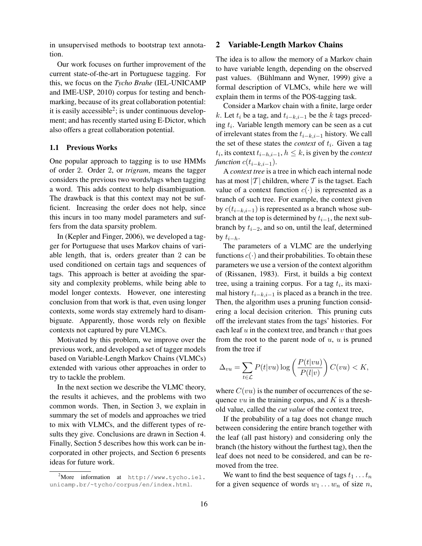in unsupervised methods to bootstrap text annotation.

Our work focuses on further improvement of the current state-of-the-art in Portuguese tagging. For this, we focus on the *Tycho Brahe* (IEL-UNICAMP and IME-USP, 2010) corpus for testing and benchmarking, because of its great collaboration potential: it is easily accessible<sup>2</sup>; is under continuous development; and has recently started using E-Dictor, which also offers a great collaboration potential.

#### 1.1 Previous Works

One popular approach to tagging is to use HMMs of order 2. Order 2, or *trigram*, means the tagger considers the previous two words/tags when tagging a word. This adds context to help disambiguation. The drawback is that this context may not be sufficient. Increasing the order does not help, since this incurs in too many model parameters and suffers from the data sparsity problem.

In (Kepler and Finger, 2006), we developed a tagger for Portuguese that uses Markov chains of variable length, that is, orders greater than 2 can be used conditioned on certain tags and sequences of tags. This approach is better at avoiding the sparsity and complexity problems, while being able to model longer contexts. However, one interesting conclusion from that work is that, even using longer contexts, some words stay extremely hard to disambiguate. Apparently, those words rely on flexible contexts not captured by pure VLMCs.

Motivated by this problem, we improve over the previous work, and developed a set of tagger models based on Variable-Length Markov Chains (VLMCs) extended with various other approaches in order to try to tackle the problem.

In the next section we describe the VLMC theory, the results it achieves, and the problems with two common words. Then, in Section 3, we explain in summary the set of models and approaches we tried to mix with VLMCs, and the different types of results they give. Conclusions are drawn in Section 4. Finally, Section 5 describes how this work can be incorporated in other projects, and Section 6 presents ideas for future work.

#### 2 Variable-Length Markov Chains

The idea is to allow the memory of a Markov chain to have variable length, depending on the observed past values. (Bühlmann and Wyner, 1999) give a formal description of VLMCs, while here we will explain them in terms of the POS-tagging task.

Consider a Markov chain with a finite, large order k. Let  $t_i$  be a tag, and  $t_{i-k,i-1}$  be the k tags preceding  $t_i$ . Variable length memory can be seen as a cut of irrelevant states from the  $t_{i-k,i-1}$  history. We call the set of these states the *context* of  $t_i$ . Given a tag  $t_i$ , its context  $t_{i-h,i-1}$ ,  $h \leq k$ , is given by the *context function*  $c(t_{i-k,i-1})$ .

A *context tree* is a tree in which each internal node has at most  $|T|$  children, where T is the tagset. Each value of a context function  $c(\cdot)$  is represented as a branch of such tree. For example, the context given by  $c(t_{i-k,i-1})$  is represented as a branch whose subbranch at the top is determined by  $t_{i-1}$ , the next subbranch by  $t_{i-2}$ , and so on, until the leaf, determined by  $t_{i-h}$ .

The parameters of a VLMC are the underlying functions  $c(\cdot)$  and their probabilities. To obtain these parameters we use a version of the context algorithm of (Rissanen, 1983). First, it builds a big context tree, using a training corpus. For a tag  $t_i$ , its maximal history  $t_{i-k,i-1}$  is placed as a branch in the tree. Then, the algorithm uses a pruning function considering a local decision criterion. This pruning cuts off the irrelevant states from the tags' histories. For each leaf  $u$  in the context tree, and branch  $v$  that goes from the root to the parent node of  $u$ ,  $u$  is pruned from the tree if

$$
\Delta_{vu} = \sum_{t \in \mathcal{L}} P(t|vu) \log \left( \frac{P(t|vu)}{P(l|v)} \right) C(vu) < K,
$$

where  $C(vu)$  is the number of occurrences of the sequence  $vu$  in the training corpus, and K is a threshold value, called the *cut value* of the context tree,

If the probability of a tag does not change much between considering the entire branch together with the leaf (all past history) and considering only the branch (the history without the furthest tag), then the leaf does not need to be considered, and can be removed from the tree.

We want to find the best sequence of tags  $t_1 \ldots t_n$ for a given sequence of words  $w_1 \dots w_n$  of size *n*,

<sup>2</sup>More information at http://www.tycho.iel. unicamp.br/~tycho/corpus/en/index.html.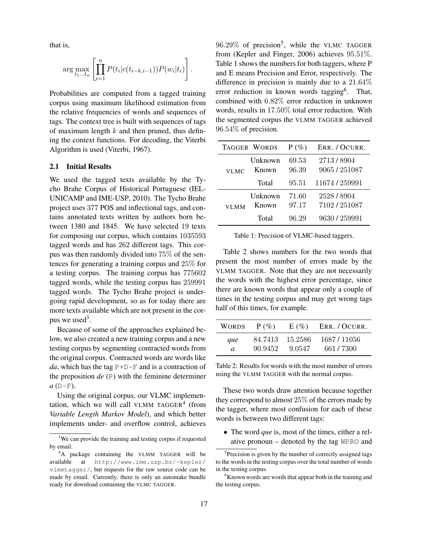that is,

$$
\arg \max_{t_1...t_n} \left[ \prod_{i=1}^n P(t_i | c(t_{i-k,i-1})) P(w_i | t_i) \right].
$$

Probabilities are computed from a tagged training corpus using maximum likelihood estimation from the relative frequencies of words and sequences of tags. The context tree is built with sequences of tags of maximum length  $k$  and then pruned, thus defining the context functions. For decoding, the Viterbi Algorithm is used (Viterbi, 1967).

## 2.1 Initial Results

We used the tagged texts available by the Tycho Brahe Corpus of Historical Portuguese (IEL-UNICAMP and IME-USP, 2010). The Tycho Brahe project uses 377 POS and inflectional tags, and contains annotated texts written by authors born between 1380 and 1845. We have selected 19 texts for composing our corpus, which contains 1035593 tagged words and has 262 different tags. This corpus was then randomly divided into 75% of the sentences for generating a training corpus and 25% for a testing corpus. The training corpus has 775602 tagged words, while the testing corpus has 259991 tagged words. The Tycho Brahe project is undergoing rapid development, so as for today there are more texts available which are not present in the corpus we used<sup>3</sup>.

Because of some of the approaches explained below, we also created a new training corpus and a new testing corpus by segmenting contracted words from the original corpus. Contracted words are words like *da*, which has the tag  $P+D-F$  and is a contraction of the preposition *de* (P) with the feminine determiner  $a(D-F)$ .

Using the original corpus, our VLMC implementation, which we will call VLMM TAGGER<sup>4</sup> (from *Variable Length Markov Model*), and which better implements under- and overflow control, achieves

 $96.29\%$  of precision<sup>5</sup>, while the VLMC TAGGER from (Kepler and Finger, 2006) achieves 95.51%. Table 1 shows the numbers for both taggers, where P and E means Precision and Error, respectively. The difference in precision is mainly due to a 21.64% error reduction in known words tagging<sup>6</sup>. That, combined with 6.82% error reduction in unknown words, results in 17.50% total error reduction. With the segmented corpus the VLMM TAGGER achieved 96.54% of precision.

|             | TAGGER WORDS     | $P(\%)$        | ERR. / OCURR.              |
|-------------|------------------|----------------|----------------------------|
| <b>VLMC</b> | Unknown<br>Known | 69.53<br>96.39 | 2713/8904<br>9065/251087   |
|             | Total            | 95.51          | 11674 / 259991             |
| <b>VLMM</b> | Unknown<br>Known | 71.60<br>97.17 | 2528 / 8904<br>7102/251087 |
|             | Total            | 96.29          | 9630 / 259991              |

Table 1: Precision of VLMC-based taggers.

Table 2 shows numbers for the two words that present the most number of errors made by the VLMM TAGGER. Note that they are not necessarily the words with the highest error percentage, since there are known words that appear only a couple of times in the testing corpus and may get wrong tags half of this times, for example.

| <b>WORDS</b> | $P(\%)$ | E(%)    | ERR. / OCURR. |
|--------------|---------|---------|---------------|
| que          | 84.7413 | 15.2586 | 1687/11056    |
| a.           | 90.9452 | 9.0547  | 661 / 7300    |

Table 2: Results for words with the most number of errors using the VLMM TAGGER with the normal corpus.

These two words draw attention because together they correspond to almost 25% of the errors made by the tagger, where most confusion for each of these words is between two different tags:

• The word *que* is, most of the times, either a relative pronoun – denoted by the tag WPRO and

<sup>&</sup>lt;sup>3</sup>We can provide the training and testing corpus if requested by email.

<sup>4</sup>A package containing the VLMM TAGGER will be available at http://www.ime.usp.br/~kepler/ vlmmtagger/, but requests for the raw source code can be made by email. Currently, there is only an automake bundle ready for download containing the VLMC TAGGER.

<sup>&</sup>lt;sup>5</sup>Precision is given by the number of correctly assigned tags to the words in the testing corpus over the total number of words in the testing corpus.

 ${}^{6}$ Known words are words that appear both in the training and the testing corpus.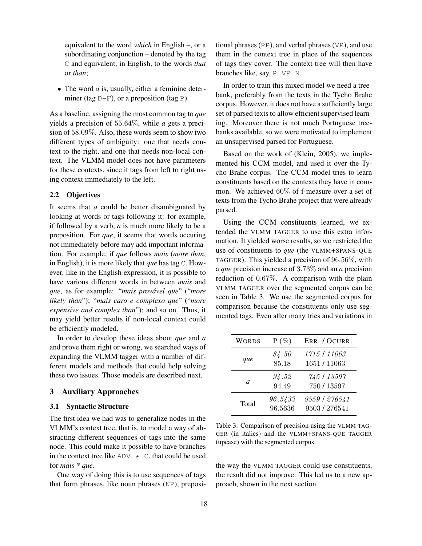equivalent to the word *which* in English –, or a subordinating conjunction – denoted by the tag C and equivalent, in English, to the words *that* or *than*;

• The word *a* is, usually, either a feminine determiner (tag  $D-F$ ), or a preposition (tag P).

As a baseline, assigning the most common tag to *que* yields a precision of 55.64%, while *a* gets a precision of 58.09%. Also, these words seem to show two different types of ambiguity: one that needs context to the right, and one that needs non-local context. The VLMM model does not have parameters for these contexts, since it tags from left to right using context immediately to the left.

## 2.2 Objectives

It seems that *a* could be better disambiguated by looking at words or tags following it: for example, if followed by a verb, *a* is much more likely to be a preposition. For *que*, it seems that words occuring not immediately before may add important information. For example, if *que* follows *mais* (*more than*, in English), it is more likely that *que* has tag C. However, like in the English expression, it is possible to have various different words in between *mais* and *que*, as for example: "*mais provável que*" ("*more likely than*"); "*mais caro e complexo que*" ("*more expensive and complex than*"); and so on. Thus, it may yield better results if non-local context could be efficiently modeled.

In order to develop these ideas about *que* and *a* and prove them right or wrong, we searched ways of expanding the VLMM tagger with a number of different models and methods that could help solving these two issues. Those models are described next.

# 3 Auxiliary Approaches

#### 3.1 Syntactic Structure

The first idea we had was to generalize nodes in the VLMM's context tree, that is, to model a way of abstracting different sequences of tags into the same node. This could make it possible to have branches in the context tree like  $ADV \star C$ , that could be used for *mais \* que*.

One way of doing this is to use sequences of tags that form phrases, like noun phrases (NP), prepositional phrases (PP), and verbal phrases (VP), and use them in the context tree in place of the sequences of tags they cover. The context tree will then have branches like, say, P VP N.

In order to train this mixed model we need a treebank, preferably from the texts in the Tycho Brahe corpus. However, it does not have a sufficiently large set of parsed texts to allow efficient supervised learning. Moreover there is not much Portuguese treebanks available, so we were motivated to implement an unsupervised parsed for Portuguese.

Based on the work of (Klein, 2005), we implemented his CCM model, and used it over the Tycho Brahe corpus. The CCM model tries to learn constituents based on the contexts they have in common. We achieved 60% of f-measure over a set of texts from the Tycho Brahe project that were already parsed.

Using the CCM constituents learned, we extended the VLMM TAGGER to use this extra information. It yielded worse results, so we restricted the use of constituents to *que* (the VLMM+SPANS-QUE TAGGER). This yielded a precision of 96.56%, with a *que* precision increase of 3.73% and an *a* precision reduction of 0.67%. A comparison with the plain VLMM TAGGER over the segmented corpus can be seen in Table 3. We use the segmented corpus for comparison because the constituents only use segmented tags. Even after many tries and variations in

| <b>WORDS</b> | $P(\%)$            | ERR. / OCURR.                |
|--------------|--------------------|------------------------------|
| que          | 84.50<br>85.18     | 1715   11063<br>1651/11063   |
| a            | 94.52<br>94.49     | 745 / 13597<br>750/13597     |
| Total        | 96.5433<br>96.5636 | 9559   276541<br>9503/276541 |

Table 3: Comparison of precision using the VLMM TAG-GER (in italics) and the VLMM+SPANS-QUE TAGGER (upcase) with the segmented corpus.

the way the VLMM TAGGER could use constituents, the result did not improve. This led us to a new approach, shown in the next section.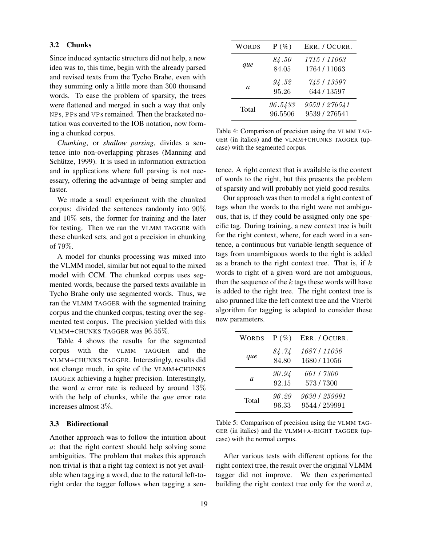## 3.2 Chunks

Since induced syntactic structure did not help, a new idea was to, this time, begin with the already parsed and revised texts from the Tycho Brahe, even with they summing only a little more than 300 thousand words. To ease the problem of sparsity, the trees were flattened and merged in such a way that only NPs, PPs and VPs remained. Then the bracketed notation was converted to the IOB notation, now forming a chunked corpus.

*Chunking*, or *shallow parsing*, divides a sentence into non-overlapping phrases (Manning and Schütze, 1999). It is used in information extraction and in applications where full parsing is not necessary, offering the advantage of being simpler and faster.

We made a small experiment with the chunked corpus: divided the sentences randomly into 90% and 10% sets, the former for training and the later for testing. Then we ran the VLMM TAGGER with these chunked sets, and got a precision in chunking of 79%.

A model for chunks processing was mixed into the VLMM model, similar but not equal to the mixed model with CCM. The chunked corpus uses segmented words, because the parsed texts available in Tycho Brahe only use segmented words. Thus, we ran the VLMM TAGGER with the segmented training corpus and the chunked corpus, testing over the segmented test corpus. The precision yielded with this VLMM+CHUNKS TAGGER was 96.55%.

Table 4 shows the results for the segmented corpus with the VLMM TAGGER and the VLMM+CHUNKS TAGGER. Interestingly, results did not change much, in spite of the VLMM+CHUNKS TAGGER achieving a higher precision. Interestingly, the word *a* error rate is reduced by around 13% with the help of chunks, while the *que* error rate increases almost 3%.

#### 3.3 Bidirectional

Another approach was to follow the intuition about *a*: that the right context should help solving some ambiguities. The problem that makes this approach non trivial is that a right tag context is not yet available when tagging a word, due to the natural left-toright order the tagger follows when tagging a sen-

| WORDS | $P(\%)$            | ERR. / OCURR.                  |
|-------|--------------------|--------------------------------|
| que   | 84.50<br>84.05     | 1715   11063<br>1764/11063     |
| a.    | 94.52<br>95.26     | 745 / 13597<br>644 / 13597     |
| Total | 96.5433<br>96.5506 | 9559   276541<br>9539 / 276541 |

Table 4: Comparison of precision using the VLMM TAG-GER (in italics) and the VLMM+CHUNKS TAGGER (upcase) with the segmented corpus.

tence. A right context that is available is the context of words to the right, but this presents the problem of sparsity and will probably not yield good results.

Our approach was then to model a right context of tags when the words to the right were not ambiguous, that is, if they could be assigned only one specific tag. During training, a new context tree is built for the right context, where, for each word in a sentence, a continuous but variable-length sequence of tags from unambiguous words to the right is added as a branch to the right context tree. That is, if  $k$ words to right of a given word are not ambiguous, then the sequence of the  $k$  tags these words will have is added to the right tree. The right context tree is also prunned like the left context tree and the Viterbi algorithm for tagging is adapted to consider these new parameters.

| <b>WORDS</b> | $P(\%)$        | ERR. / OCURR.                  |
|--------------|----------------|--------------------------------|
| que          | 84.74<br>84.80 | 1687   11056<br>1680/11056     |
| a            | 90.94<br>92.15 | 661   7300<br>573/7300         |
| Total        | 96.29<br>96.33 | 9630   259991<br>9544 / 259991 |

Table 5: Comparison of precision using the VLMM TAG-GER (in italics) and the VLMM+A-RIGHT TAGGER (upcase) with the normal corpus.

After various tests with different options for the right context tree, the result over the original VLMM tagger did not improve. We then experimented building the right context tree only for the word *a*,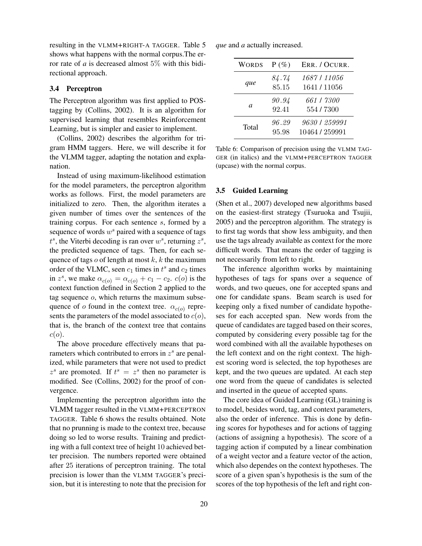resulting in the VLMM+RIGHT-A TAGGER. Table 5 shows what happens with the normal corpus.The error rate of  $a$  is decreased almost 5% with this bidirectional approach.

#### 3.4 Perceptron

The Perceptron algorithm was first applied to POStagging by (Collins, 2002). It is an algorithm for supervised learning that resembles Reinforcement Learning, but is simpler and easier to implement.

(Collins, 2002) describes the algorithm for trigram HMM taggers. Here, we will describe it for the VLMM tagger, adapting the notation and explanation.

Instead of using maximum-likelihood estimation for the model parameters, the perceptron algorithm works as follows. First, the model parameters are initialized to zero. Then, the algorithm iterates a given number of times over the sentences of the training corpus. For each sentence s, formed by a sequence of words  $w^s$  paired with a sequence of tags  $t^s$ , the Viterbi decoding is ran over  $w^s$ , returning  $z^s$ , the predicted sequence of tags. Then, for each sequence of tags  $o$  of length at most  $k$ ,  $k$  the maximum order of the VLMC, seen  $c_1$  times in  $t^s$  and  $c_2$  times in  $z^s$ , we make  $\alpha_{c(o)} = \alpha_{c(o)} + c_1 - c_2$ .  $c(o)$  is the context function defined in Section 2 applied to the tag sequence  $o$ , which returns the maximum subsequence of o found in the context tree.  $\alpha_{c(o)}$  represents the parameters of the model associated to  $c(o)$ , that is, the branch of the context tree that contains  $c(o).$ 

The above procedure effectively means that parameters which contributed to errors in  $z<sup>s</sup>$  are penalized, while parameters that were not used to predict  $z<sup>s</sup>$  are promoted. If  $t<sup>s</sup> = z<sup>s</sup>$  then no parameter is modified. See (Collins, 2002) for the proof of convergence.

Implementing the perceptron algorithm into the VLMM tagger resulted in the VLMM+PERCEPTRON TAGGER. Table 6 shows the results obtained. Note that no prunning is made to the context tree, because doing so led to worse results. Training and predicting with a full context tree of height 10 achieved better precision. The numbers reported were obtained after 25 iterations of perceptron training. The total precision is lower than the VLMM TAGGER's precision, but it is interesting to note that the precision for *que* and *a* actually increased.

| <b>WORDS</b> | $P(\%)$        | ERR. / OCURR.                   |
|--------------|----------------|---------------------------------|
| que          | 84.74<br>85.15 | 1687   11056<br>1641/11056      |
| a.           | 90.94<br>92.41 | 661   7300<br>554/7300          |
| Total        | 96.29<br>95.98 | 9630   259991<br>10464 / 259991 |

Table 6: Comparison of precision using the VLMM TAG-GER (in italics) and the VLMM+PERCEPTRON TAGGER (upcase) with the normal corpus.

#### 3.5 Guided Learning

(Shen et al., 2007) developed new algorithms based on the easiest-first strategy (Tsuruoka and Tsujii, 2005) and the perceptron algorithm. The strategy is to first tag words that show less ambiguity, and then use the tags already available as context for the more difficult words. That means the order of tagging is not necessarily from left to right.

The inference algorithm works by maintaining hypotheses of tags for spans over a sequence of words, and two queues, one for accepted spans and one for candidate spans. Beam search is used for keeping only a fixed number of candidate hypotheses for each accepted span. New words from the queue of candidates are tagged based on their scores, computed by considering every possible tag for the word combined with all the available hypotheses on the left context and on the right context. The highest scoring word is selected, the top hypotheses are kept, and the two queues are updated. At each step one word from the queue of candidates is selected and inserted in the queue of accepted spans.

The core idea of Guided Learning (GL) training is to model, besides word, tag, and context parameters, also the order of inference. This is done by defining scores for hypotheses and for actions of tagging (actions of assigning a hypothesis). The score of a tagging action if computed by a linear combination of a weight vector and a feature vector of the action, which also dependes on the context hypotheses. The score of a given span's hypothesis is the sum of the scores of the top hypothesis of the left and right con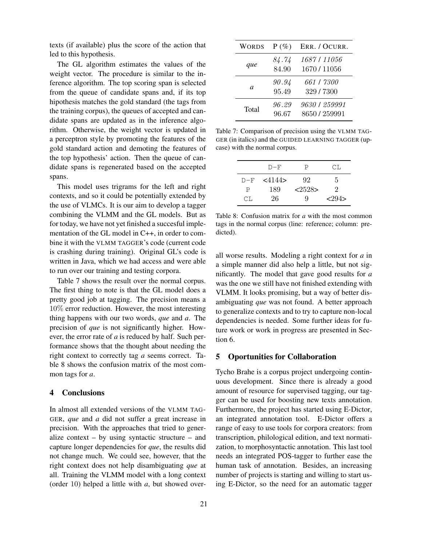texts (if available) plus the score of the action that led to this hypothesis.

The GL algorithm estimates the values of the weight vector. The procedure is similar to the inference algorithm. The top scoring span is selected from the queue of candidate spans and, if its top hipothesis matches the gold standard (the tags from the training corpus), the queues of accepted and candidate spans are updated as in the inference algorithm. Otherwise, the weight vector is updated in a perceptron style by promoting the features of the gold standard action and demoting the features of the top hypothesis' action. Then the queue of candidate spans is regenerated based on the accepted spans.

This model uses trigrams for the left and right contexts, and so it could be potentially extended by the use of VLMCs. It is our aim to develop a tagger combining the VLMM and the GL models. But as for today, we have not yet finished a succesful implementation of the GL model in C++, in order to combine it with the VLMM TAGGER's code (current code is crashing during training). Original GL's code is written in Java, which we had access and were able to run over our training and testing corpora.

Table 7 shows the result over the normal corpus. The first thing to note is that the GL model does a pretty good job at tagging. The precision means a 10% error reduction. However, the most interesting thing happens with our two words, *que* and *a*. The precision of *que* is not significantly higher. However, the error rate of *a* is reduced by half. Such performance shows that the thought about needing the right context to correctly tag *a* seems correct. Table 8 shows the confusion matrix of the most common tags for *a*.

## 4 Conclusions

In almost all extended versions of the VLMM TAG-GER, *que* and *a* did not suffer a great increase in precision. With the approaches that tried to generalize context  $-$  by using syntactic structure  $-$  and capture longer dependencies for *que*, the results did not change much. We could see, however, that the right context does not help disambiguating *que* at all. Training the VLMM model with a long context (order 10) helped a little with *a*, but showed over-

| <b>WORDS</b> | $P(\%)$        | ERR. / OCURR.                  |
|--------------|----------------|--------------------------------|
| que          | 84.74<br>84.90 | 1687   11056<br>1670 / 11056   |
| a            | 90.94<br>95.49 | 661   7300<br>329 / 7300       |
| Total        | 96.29<br>96.67 | 9630   259991<br>8650 / 259991 |

Table 7: Comparison of precision using the VLMM TAG-GER (in italics) and the GUIDED LEARNING TAGGER (upcase) with the normal corpus.

|       | $D-F$        | Р                | CT.  |
|-------|--------------|------------------|------|
| $D-F$ | $<$ 4144 $>$ | 92               | h.   |
| P     | 189          | $<\!\!2528\!\!>$ | 2    |
| CT.   | 26           | 9                | 294> |

Table 8: Confusion matrix for *a* with the most common tags in the normal corpus (line: reference; column: predicted).

all worse results. Modeling a right context for *a* in a simple manner did also help a little, but not significantly. The model that gave good results for *a* was the one we still have not finished extending with VLMM. It looks promising, but a way of better disambiguating *que* was not found. A better approach to generalize contexts and to try to capture non-local dependencies is needed. Some further ideas for future work or work in progress are presented in Section 6.

# 5 Oportunities for Collaboration

Tycho Brahe is a corpus project undergoing continuous development. Since there is already a good amount of resource for supervised tagging, our tagger can be used for boosting new texts annotation. Furthermore, the project has started using E-Dictor, an integrated annotation tool. E-Dictor offers a range of easy to use tools for corpora creators: from transcription, philological edition, and text normatization, to morphosyntactic annotation. This last tool needs an integrated POS-tagger to further ease the human task of annotation. Besides, an increasing number of projects is starting and willing to start using E-Dictor, so the need for an automatic tagger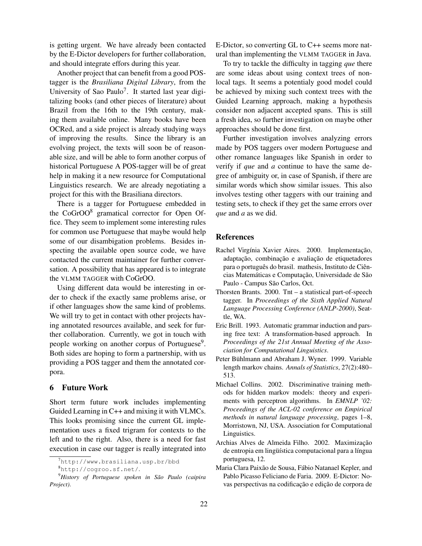is getting urgent. We have already been contacted by the E-Dictor developers for further collaboration, and should integrate effors during this year.

Another project that can benefit from a good POStagger is the *Brasiliana Digital Library*, from the University of Sao Paulo<sup>7</sup>. It started last year digitalizing books (and other pieces of literature) about Brazil from the 16th to the 19th century, making them available online. Many books have been OCRed, and a side project is already studying ways of improving the results. Since the library is an evolving project, the texts will soon be of reasonable size, and will be able to form another corpus of historical Portuguese A POS-tagger will be of great help in making it a new resource for Computational Linguistics research. We are already negotiating a project for this with the Brasiliana directors.

There is a tagger for Portuguese embedded in the CoGrOO<sup>8</sup> gramatical corrector for Open Office. They seem to implement some interesting rules for common use Portuguese that maybe would help some of our disambigation problems. Besides inspecting the available open source code, we have contacted the current maintainer for further conversation. A possibility that has appeared is to integrate the VLMM TAGGER with CoGrOO.

Using different data would be interesting in order to check if the exactly same problems arise, or if other languages show the same kind of problems. We will try to get in contact with other projects having annotated resources available, and seek for further collaboration. Currently, we got in touch with people working on another corpus of Portuguese<sup>9</sup>. Both sides are hoping to form a partnership, with us providing a POS tagger and them the annotated corpora.

# 6 Future Work

Short term future work includes implementing Guided Learning in C++ and mixing it with VLMCs. This looks promising since the current GL implementation uses a fixed trigram for contexts to the left and to the right. Also, there is a need for fast execution in case our tagger is really integrated into

E-Dictor, so converting GL to C++ seems more natural than implementing the VLMM TAGGER in Java.

To try to tackle the difficulty in tagging *que* there are some ideas about using context trees of nonlocal tags. It seems a potentialy good model could be achieved by mixing such context trees with the Guided Learning approach, making a hypothesis consider non adjacent accepted spans. This is still a fresh idea, so further investigation on maybe other approaches should be done first.

Further investigation involves analyzing errors made by POS taggers over modern Portuguese and other romance languages like Spanish in order to verify if *que* and *a* continue to have the same degree of ambiguity or, in case of Spanish, if there are similar words which show similar issues. This also involves testing other taggers with our training and testing sets, to check if they get the same errors over *que* and *a* as we did.

## References

- Rachel Virgínia Xavier Aires. 2000. Implementação, adaptação, combinação e avaliação de etiquetadores para o português do brasil. mathesis, Instituto de Ciências Matemáticas e Computação, Universidade de São Paulo - Campus São Carlos, Oct.
- Thorsten Brants. 2000. Tnt a statistical part-of-speech tagger. In *Proceedings of the Sixth Applied Natural Language Processing Conference (ANLP-2000)*, Seattle, WA.
- Eric Brill. 1993. Automatic grammar induction and parsing free text: A transformation-based approach. In *Proceedings of the 21st Annual Meeting of the Association for Computational Linguistics*.
- Peter Bühlmann and Abraham J. Wyner. 1999. Variable length markov chains. *Annals of Statistics*, 27(2):480– 513.
- Michael Collins. 2002. Discriminative training methods for hidden markov models: theory and experiments with perceptron algorithms. In *EMNLP '02: Proceedings of the ACL-02 conference on Empirical methods in natural language processing*, pages 1–8, Morristown, NJ, USA. Association for Computational Linguistics.
- Archias Alves de Almeida Filho. 2002. Maximização de entropia em lingüística computacional para a língua portuguesa, 12.
- Maria Clara Paixão de Sousa, Fábio Natanael Kepler, and Pablo Picasso Feliciano de Faria. 2009. E-Dictor: Novas perspectivas na codificação e edição de corpora de

<sup>7</sup>http://www.brasiliana.usp.br/bbd

<sup>8</sup>http://cogroo.sf.net/.

<sup>9</sup>*History of Portuguese spoken in São Paulo (caipira Project)*.